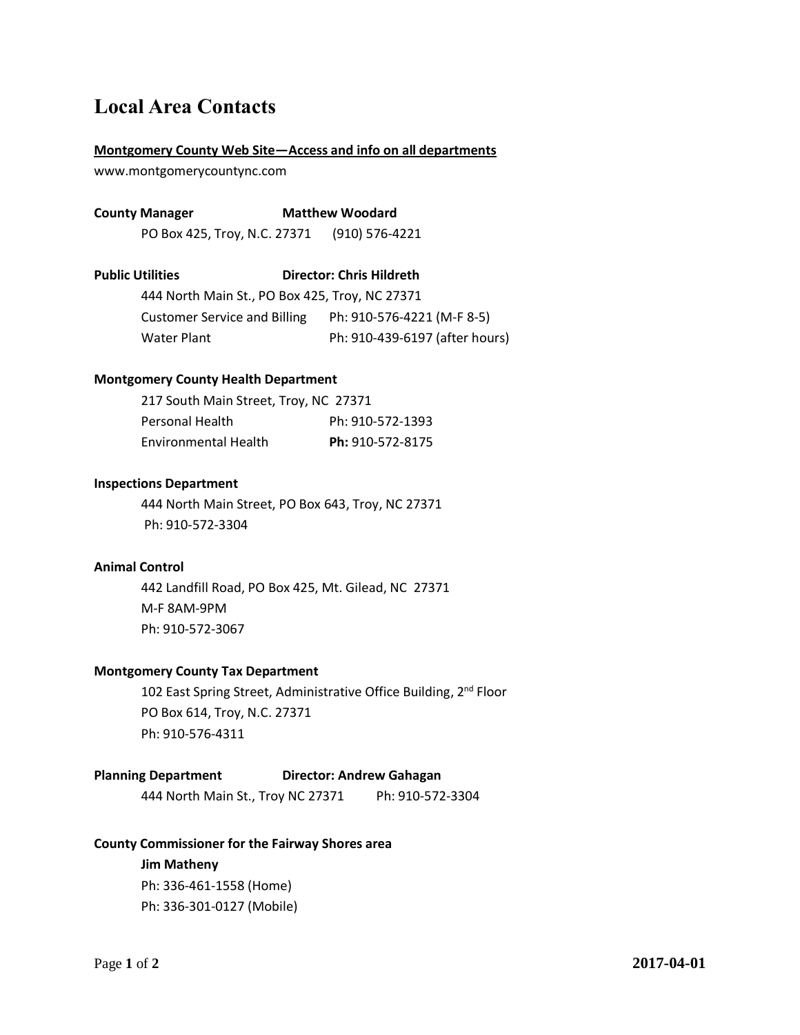# **Local Area Contacts**

#### **Montgomery County Web Site—Access and info on all departments**

www.montgomerycountync.com

**County Manager Matthew Woodard** 

PO Box 425, Troy, N.C. 27371 (910) 576-4221

**Public Utilities Director: Chris Hildreth**

444 North Main St., PO Box 425, Troy, NC 27371 Customer Service and Billing Ph: 910-576-4221 (M-F 8-5) Water Plant Ph: 910-439-6197 (after hours)

#### **Montgomery County Health Department**

| 217 South Main Street, Troy, NC 27371 |                  |
|---------------------------------------|------------------|
| <b>Personal Health</b>                | Ph: 910-572-1393 |
| Environmental Health                  | Ph: 910-572-8175 |

#### **Inspections Department**

444 North Main Street, PO Box 643, Troy, NC 27371 Ph: 910-572-3304

#### **Animal Control**

442 Landfill Road, PO Box 425, Mt. Gilead, NC 27371 M-F 8AM-9PM Ph: 910-572-3067

#### **Montgomery County Tax Department**

102 East Spring Street, Administrative Office Building, 2<sup>nd</sup> Floor PO Box 614, Troy, N.C. 27371 Ph: 910-576-4311

#### **Planning Department Director: Andrew Gahagan**

444 North Main St., Troy NC 27371 Ph: 910-572-3304

#### **County Commissioner for the Fairway Shores area**

**Jim Matheny** Ph: 336-461-1558 (Home) Ph: 336-301-0127 (Mobile)